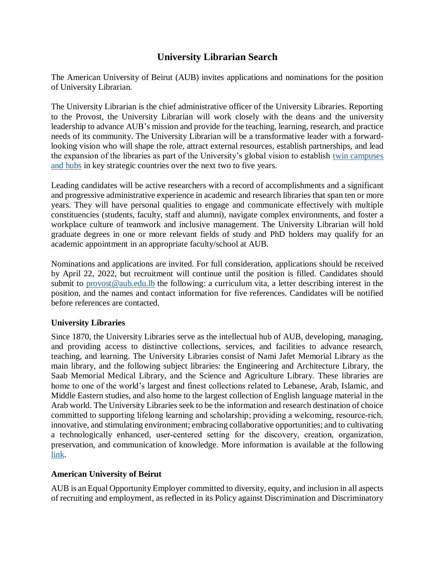## **University Librarian Search**

The American University of Beirut (AUB) invites applications and nominations for the position of University Librarian.

The University Librarian is the chief administrative officer of the University Libraries. Reporting to the Provost, the University Librarian will work closely with the deans and the university leadership to advance AUB's mission and provide for the teaching, learning, research, and practice needs of its community. The University Librarian will be a transformative leader with a forwardlooking vision who will shape the role, attract external resources, establish partnerships, and lead the expansion of the libraries as part of the University's global vision to establish [twin campuses](https://www.aub.edu.lb/President/Presidentsperspective/Pages/17December2021.aspx)  [and hubs](https://www.aub.edu.lb/President/Presidentsperspective/Pages/17December2021.aspx) in key strategic countries over the next two to five years.

Leading candidates will be active researchers with a record of accomplishments and a significant and progressive administrative experience in academic and research libraries that span ten or more years. They will have personal qualities to engage and communicate effectively with multiple constituencies (students, faculty, staff and alumni), navigate complex environments, and foster a workplace culture of teamwork and inclusive management. The University Librarian will hold graduate degrees in one or more relevant fields of study and PhD holders may qualify for an academic appointment in an appropriate faculty/school at AUB.

Nominations and applications are invited. For full consideration, applications should be received by April 22, 2022, but recruitment will continue until the position is filled. Candidates should submit to [provost@aub.edu.lb](mailto:provost@aub.edu.lb) the following: a curriculum vita, a letter describing interest in the position, and the names and contact information for five references. Candidates will be notified before references are contacted.

## **University Libraries**

Since 1870, the University Libraries serve as the intellectual hub of AUB, developing, managing, and providing access to distinctive collections, services, and facilities to advance research, teaching, and learning. The University Libraries consist of Nami Jafet Memorial Library as the main library, and the following subject libraries: the Engineering and Architecture Library, the Saab Memorial Medical Library, and the Science and Agriculture Library. These libraries are home to one of the world's largest and finest collections related to Lebanese, Arab, Islamic, and Middle Eastern studies, and also home to the largest collection of English language material in the Arab world. The University Libraries seek to be the information and research destination of choice committed to supporting lifelong learning and scholarship; providing a welcoming, resource‐rich, innovative, and stimulating environment; embracing collaborative opportunities; and to cultivating a technologically enhanced, user-centered setting for the discovery, creation, organization, preservation, and communication of knowledge. More information is available at the following [link.](https://www.aub.edu.lb/Libraries/Pages/default.aspx)

## **American University of Beirut**

AUB is an Equal Opportunity Employer committed to diversity, equity, and inclusion in all aspects of recruiting and employment, as reflected in its Policy against Discrimination and Discriminatory